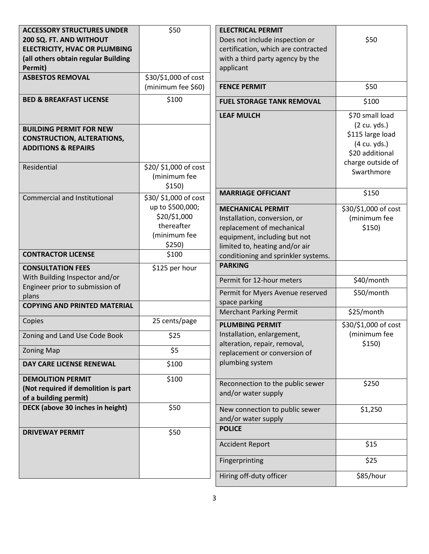| <b>ACCESSORY STRUCTURES UNDER</b>    | \$50                  | <b>ELECTRICAL PERMIT</b>                        |                      |
|--------------------------------------|-----------------------|-------------------------------------------------|----------------------|
| 200 SQ. FT. AND WITHOUT              |                       | Does not include inspection or                  | \$50                 |
| <b>ELECTRICITY, HVAC OR PLUMBING</b> |                       | certification, which are contracted             |                      |
| (all others obtain regular Building  |                       | with a third party agency by the                |                      |
| Permit)                              |                       | applicant                                       |                      |
| <b>ASBESTOS REMOVAL</b>              | \$30/\$1,000 of cost  |                                                 |                      |
|                                      | (minimum fee \$60)    | <b>FENCE PERMIT</b>                             | \$50                 |
| <b>BED &amp; BREAKFAST LICENSE</b>   | \$100                 | <b>FUEL STORAGE TANK REMOVAL</b>                | \$100                |
|                                      |                       | <b>LEAF MULCH</b>                               | \$70 small load      |
| <b>BUILDING PERMIT FOR NEW</b>       |                       |                                                 | (2 cu. yds.)         |
| <b>CONSTRUCTION, ALTERATIONS,</b>    |                       |                                                 | \$115 large load     |
| <b>ADDITIONS &amp; REPAIRS</b>       |                       |                                                 | (4 cu. yds.)         |
|                                      |                       |                                                 | \$20 additional      |
| Residential                          | \$20/ \$1,000 of cost |                                                 | charge outside of    |
|                                      | (minimum fee          |                                                 | Swarthmore           |
|                                      | \$150)                |                                                 |                      |
| <b>Commercial and Institutional</b>  | \$30/ \$1,000 of cost | <b>MARRIAGE OFFICIANT</b>                       | \$150                |
|                                      | up to \$500,000;      | <b>MECHANICAL PERMIT</b>                        | \$30/\$1,000 of cost |
|                                      | \$20/\$1,000          | Installation, conversion, or                    | (minimum fee         |
|                                      | thereafter            | replacement of mechanical                       | \$150)               |
|                                      | (minimum fee          | equipment, including but not                    |                      |
|                                      | \$250)                | limited to, heating and/or air                  |                      |
| <b>CONTRACTOR LICENSE</b>            | \$100                 | conditioning and sprinkler systems.             |                      |
| <b>CONSULTATION FEES</b>             | \$125 per hour        | <b>PARKING</b>                                  |                      |
| With Building Inspector and/or       |                       | Permit for 12-hour meters                       | \$40/month           |
| Engineer prior to submission of      |                       |                                                 |                      |
| plans                                |                       | Permit for Myers Avenue reserved                | \$50/month           |
| <b>COPYING AND PRINTED MATERIAL</b>  |                       | space parking<br><b>Merchant Parking Permit</b> | \$25/month           |
| Copies                               | 25 cents/page         | <b>PLUMBING PERMIT</b>                          | \$30/\$1,000 of cost |
| Zoning and Land Use Code Book        | \$25                  | Installation, enlargement,                      | (minimum fee         |
|                                      |                       | alteration, repair, removal,                    | \$150)               |
| <b>Zoning Map</b>                    | \$5                   | replacement or conversion of                    |                      |
| DAY CARE LICENSE RENEWAL             | \$100                 | plumbing system                                 |                      |
| <b>DEMOLITION PERMIT</b>             | \$100                 | Reconnection to the public sewer                | \$250                |
| (Not required if demolition is part  |                       | and/or water supply                             |                      |
| of a building permit)                |                       |                                                 |                      |
| DECK (above 30 inches in height)     | \$50                  | New connection to public sewer                  | \$1,250              |
|                                      |                       | and/or water supply                             |                      |
| <b>DRIVEWAY PERMIT</b>               | \$50                  | <b>POLICE</b>                                   |                      |
|                                      |                       | <b>Accident Report</b>                          | \$15                 |
|                                      |                       | Fingerprinting                                  | \$25                 |
|                                      |                       |                                                 |                      |
|                                      |                       | Hiring off-duty officer                         | \$85/hour            |